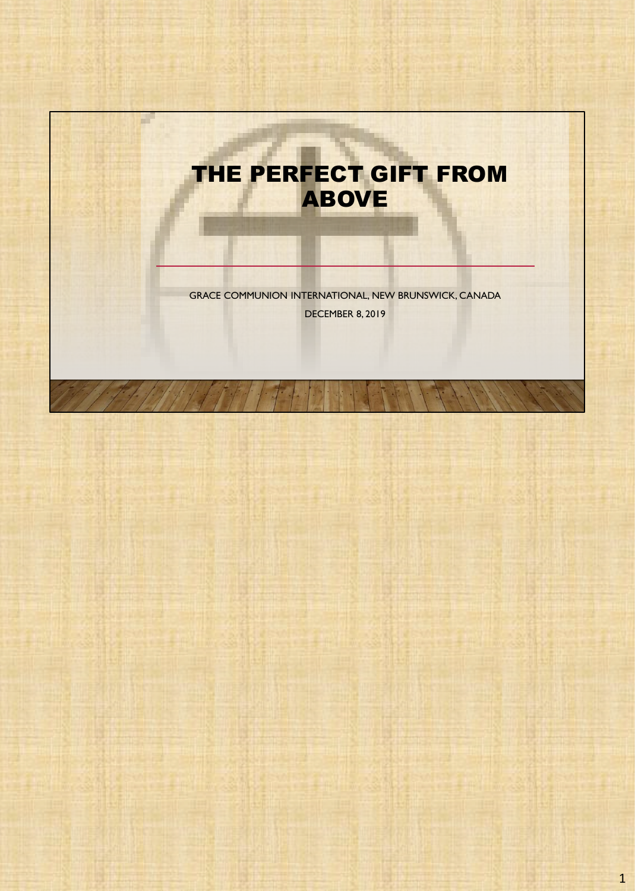

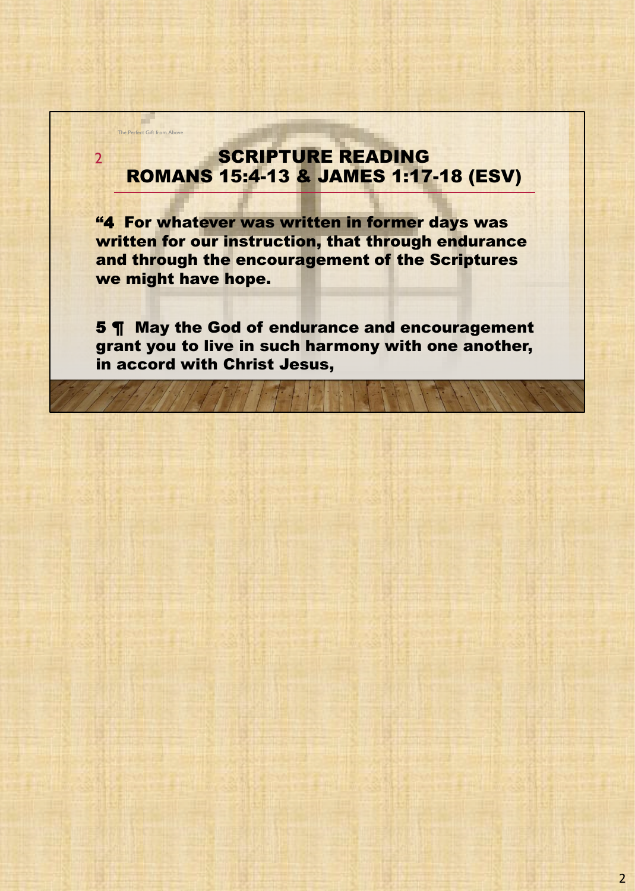# SCRIPTURE READING ROMANS 15:4-13 & JAMES 1:17-18 (ESV)

The Perfect Gift from Above

H.

2

"4 For whatever was written in former days was written for our instruction, that through endurance and through the encouragement of the Scriptures we might have hope.

5 ¶ May the God of endurance and encouragement grant you to live in such harmony with one another, in accord with Christ Jesus,

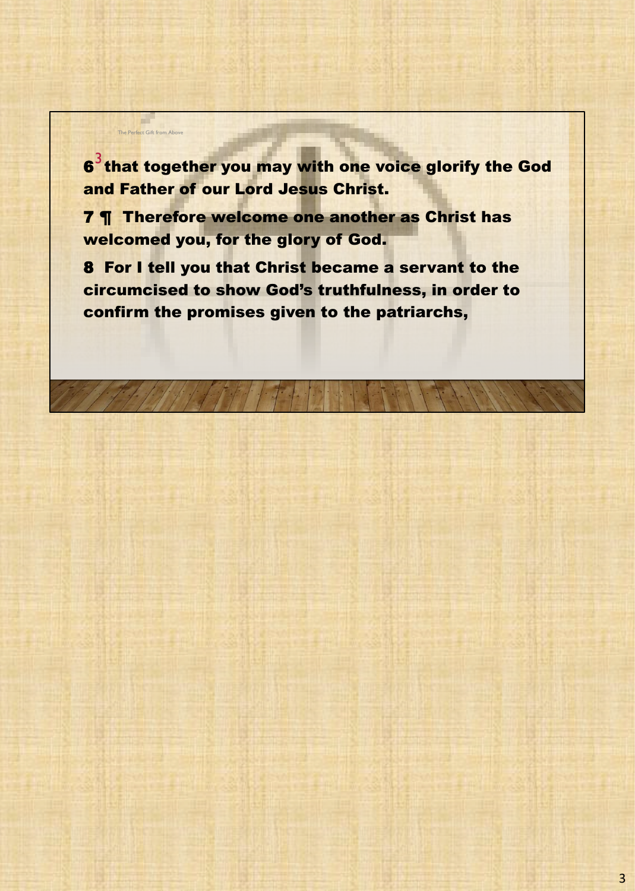$\boldsymbol{6}^3$ that together you may with one voice glorify the God and Father of our Lord Jesus Christ.

7 ¶ Therefore welcome one another as Christ has welcomed you, for the glory of God.

The Perfect Gift from Above

u.

8 For I tell you that Christ became a servant to the circumcised to show God's truthfulness, in order to confirm the promises given to the patriarchs,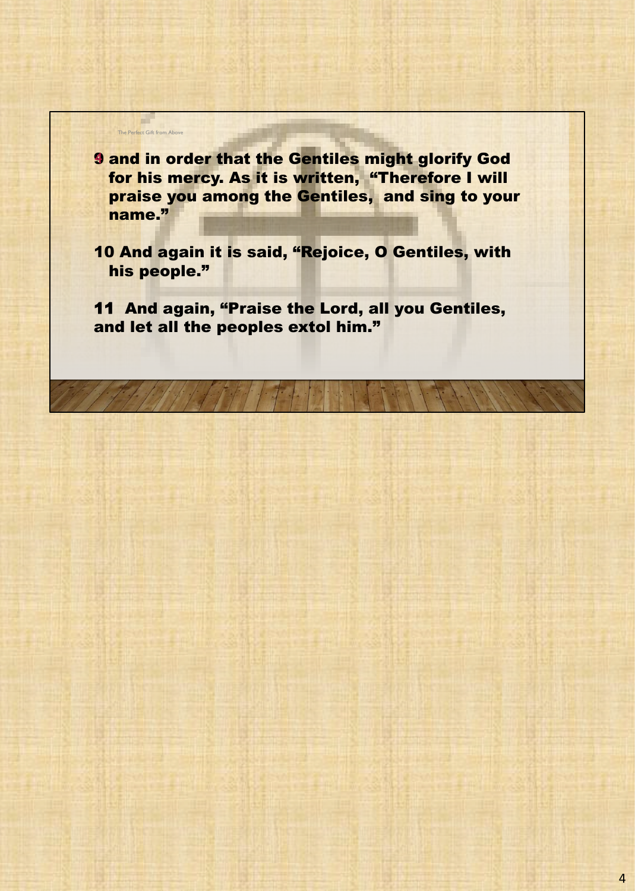The Perfect Gift from Above **9 and in order that the Gentiles might glorify God** for his mercy. As it is written, "Therefore I will praise you among the Gentiles, and sing to your name."

u.

10 And again it is said, "Rejoice, O Gentiles, with his people."

11 And again, "Praise the Lord, all you Gentiles, and let all the peoples extol him."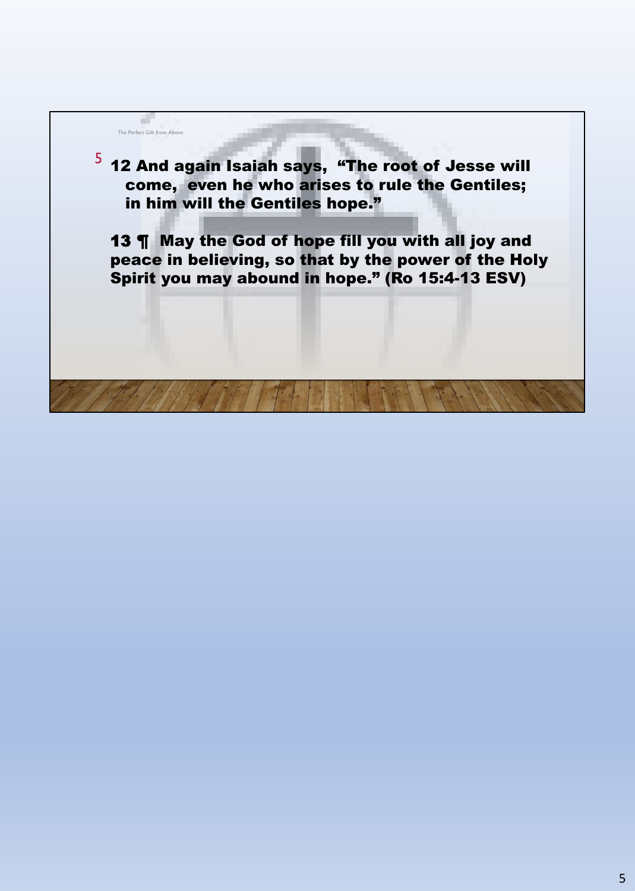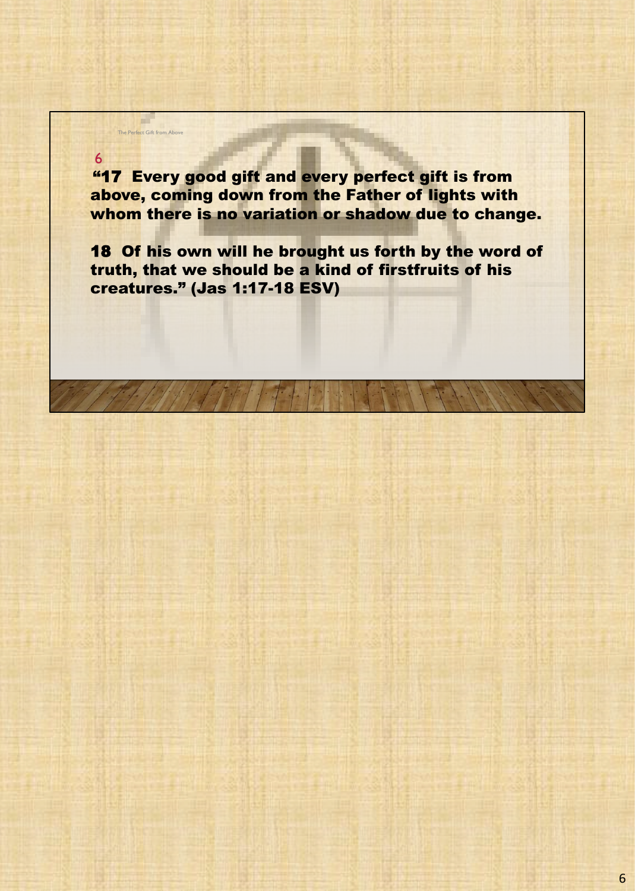"17 Every good gift and every perfect gift is from above, coming down from the Father of lights with whom there is no variation or shadow due to change.

The Perfect Gift from Above

a.

6

18 Of his own will he brought us forth by the word of truth, that we should be a kind of firstfruits of his creatures." (Jas 1:17-18 ESV)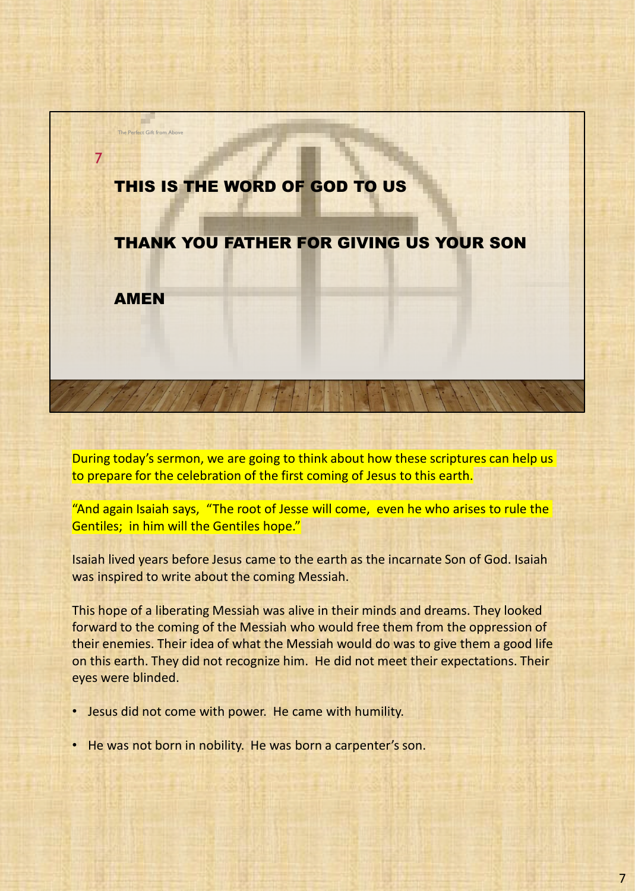

During today's sermon, we are going to think about how these scriptures can help us to prepare for the celebration of the first coming of Jesus to this earth.

"And again Isaiah says, "The root of Jesse will come, even he who arises to rule the Gentiles; in him will the Gentiles hope."

Isaiah lived years before Jesus came to the earth as the incarnate Son of God. Isaiah was inspired to write about the coming Messiah.

This hope of a liberating Messiah was alive in their minds and dreams. They looked forward to the coming of the Messiah who would free them from the oppression of their enemies. Their idea of what the Messiah would do was to give them a good life on this earth. They did not recognize him. He did not meet their expectations. Their eyes were blinded.

- Jesus did not come with power. He came with humility.
- He was not born in nobility. He was born a carpenter's son.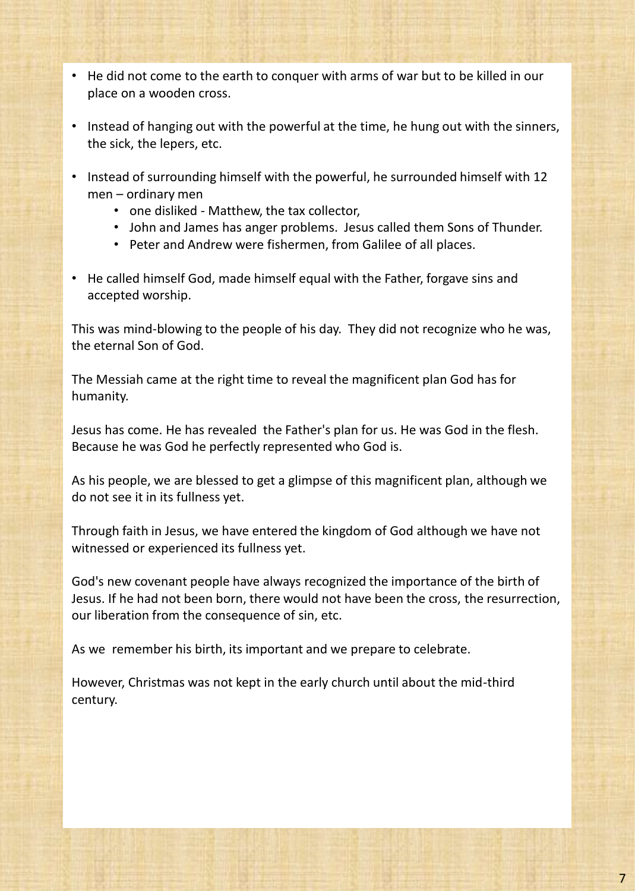- He did not come to the earth to conquer with arms of war but to be killed in our place on a wooden cross.
- Instead of hanging out with the powerful at the time, he hung out with the sinners, the sick, the lepers, etc.
- Instead of surrounding himself with the powerful, he surrounded himself with 12 men – ordinary men
	- one disliked Matthew, the tax collector,
	- John and James has anger problems. Jesus called them Sons of Thunder.
	- Peter and Andrew were fishermen, from Galilee of all places.
- He called himself God, made himself equal with the Father, forgave sins and accepted worship.

This was mind-blowing to the people of his day. They did not recognize who he was, the eternal Son of God.

The Messiah came at the right time to reveal the magnificent plan God has for humanity.

Jesus has come. He has revealed the Father's plan for us. He was God in the flesh. Because he was God he perfectly represented who God is.

As his people, we are blessed to get a glimpse of this magnificent plan, although we do not see it in its fullness yet.

Through faith in Jesus, we have entered the kingdom of God although we have not witnessed or experienced its fullness yet.

God's new covenant people have always recognized the importance of the birth of Jesus. If he had not been born, there would not have been the cross, the resurrection, our liberation from the consequence of sin, etc.

As we remember his birth, its important and we prepare to celebrate.

However, Christmas was not kept in the early church until about the mid-third century.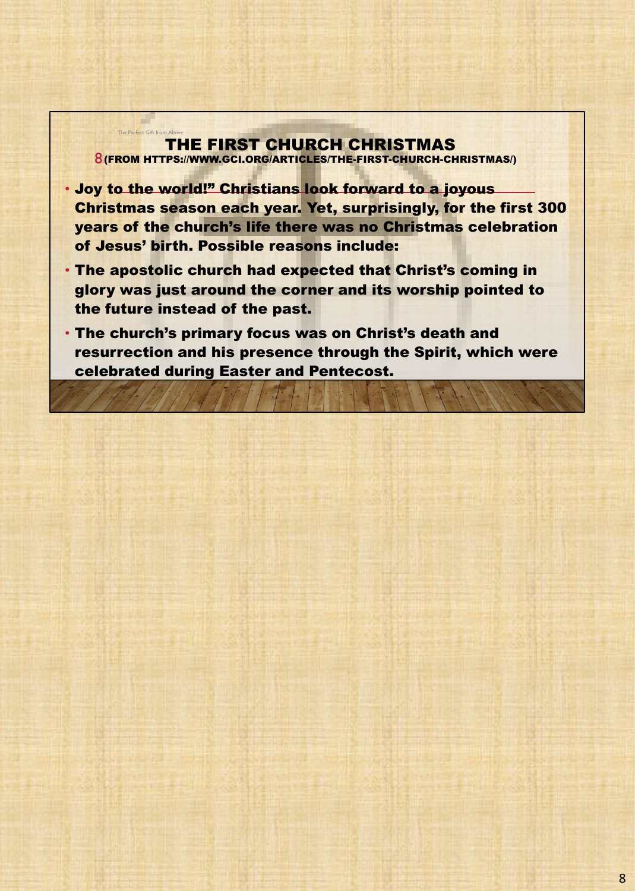### THE FIRST CHURCH CHRISTMAS 8 (FROM HTTPS://WWW.GCI.ORG/ARTICLES/THE-FIRST-CHURCH-CHRISTMAS/) The Perfect Gift from Above

- Joy to the world!" Christians look forward to a joyous Christmas season each year. Yet, surprisingly, for the first 300 years of the church's life there was no Christmas celebration of Jesus' birth. Possible reasons include:
- The apostolic church had expected that Christ's coming in glory was just around the corner and its worship pointed to the future instead of the past.
- The church's primary focus was on Christ's death and resurrection and his presence through the Spirit, which were celebrated during Easter and Pentecost.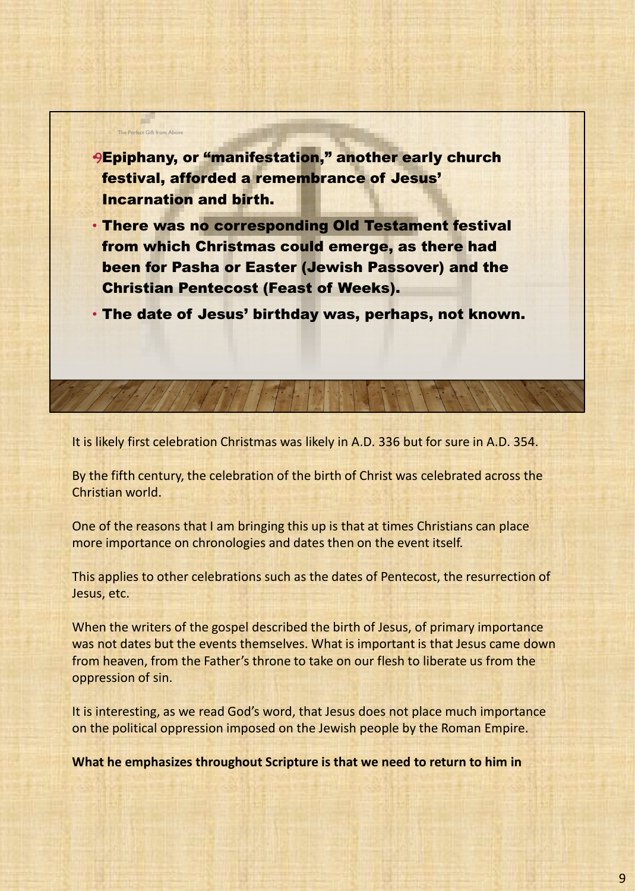

It is likely first celebration Christmas was likely in A.D. 336 but for sure in A.D. 354.

By the fifth century, the celebration of the birth of Christ was celebrated across the Christian world.

One of the reasons that I am bringing this up is that at times Christians can place more importance on chronologies and dates then on the event itself.

This applies to other celebrations such as the dates of Pentecost, the resurrection of Jesus, etc.

When the writers of the gospel described the birth of Jesus, of primary importance was not dates but the events themselves. What is important is that Jesus came down from heaven, from the Father's throne to take on our flesh to liberate us from the oppression of sin.

It is interesting, as we read God's word, that Jesus does not place much importance on the political oppression imposed on the Jewish people by the Roman Empire.

**What he emphasizes throughout Scripture is that we need to return to him in**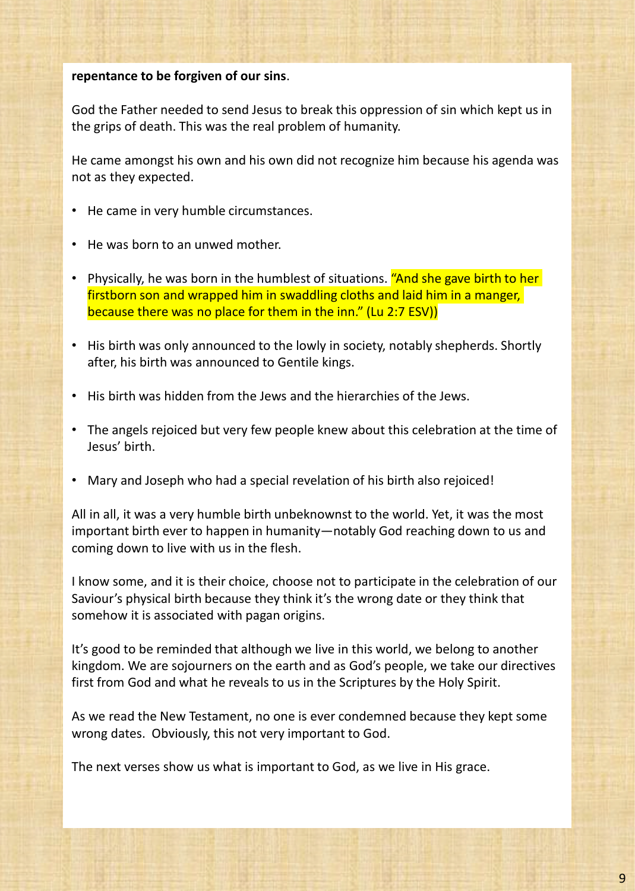## **repentance to be forgiven of our sins**.

God the Father needed to send Jesus to break this oppression of sin which kept us in the grips of death. This was the real problem of humanity.

He came amongst his own and his own did not recognize him because his agenda was not as they expected.

- He came in very humble circumstances.
- He was born to an unwed mother.
- Physically, he was born in the humblest of situations. "And she gave birth to her firstborn son and wrapped him in swaddling cloths and laid him in a manger, because there was no place for them in the inn." (Lu 2:7 ESV))
- His birth was only announced to the lowly in society, notably shepherds. Shortly after, his birth was announced to Gentile kings.
- His birth was hidden from the Jews and the hierarchies of the Jews.
- The angels rejoiced but very few people knew about this celebration at the time of Jesus' birth.
- Mary and Joseph who had a special revelation of his birth also rejoiced!

All in all, it was a very humble birth unbeknownst to the world. Yet, it was the most important birth ever to happen in humanity—notably God reaching down to us and coming down to live with us in the flesh.

I know some, and it is their choice, choose not to participate in the celebration of our Saviour's physical birth because they think it's the wrong date or they think that somehow it is associated with pagan origins.

It's good to be reminded that although we live in this world, we belong to another kingdom. We are sojourners on the earth and as God's people, we take our directives first from God and what he reveals to us in the Scriptures by the Holy Spirit.

As we read the New Testament, no one is ever condemned because they kept some wrong dates. Obviously, this not very important to God.

The next verses show us what is important to God, as we live in His grace.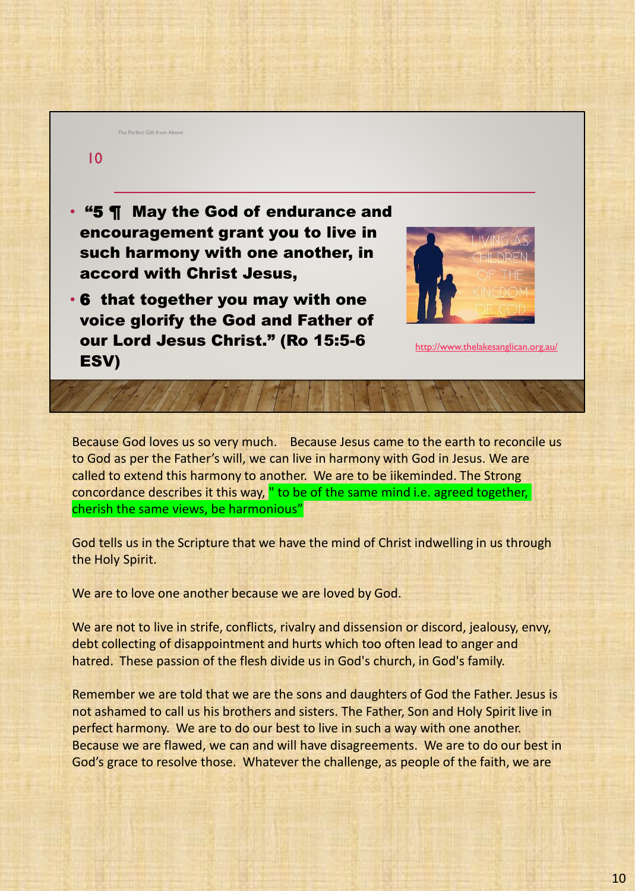#### The Perfect Gift from Aboy

# $1<sub>0</sub>$

- "5 ¶ May the God of endurance and encouragement grant you to live in such harmony with one another, in accord with Christ Jesus,
- 6 that together you may with one voice glorify the God and Father of our Lord Jesus Christ." (Ro 15:5-6 ESV)



```
http://www.thelakesanglican.org.au/
```
Because God loves us so very much. Because Jesus came to the earth to reconcile us to God as per the Father's will, we can live in harmony with God in Jesus. We are called to extend this harmony to another. We are to be iikeminded. The Strong concordance describes it this way, " to be of the same mind i.e. agreed together, cherish the same views, be harmonious"

God tells us in the Scripture that we have the mind of Christ indwelling in us through the Holy Spirit.

We are to love one another because we are loved by God.

We are not to live in strife, conflicts, rivalry and dissension or discord, jealousy, envy, debt collecting of disappointment and hurts which too often lead to anger and hatred. These passion of the flesh divide us in God's church, in God's family.

Remember we are told that we are the sons and daughters of God the Father. Jesus is not ashamed to call us his brothers and sisters. The Father, Son and Holy Spirit live in perfect harmony. We are to do our best to live in such a way with one another. Because we are flawed, we can and will have disagreements. We are to do our best in God's grace to resolve those. Whatever the challenge, as people of the faith, we are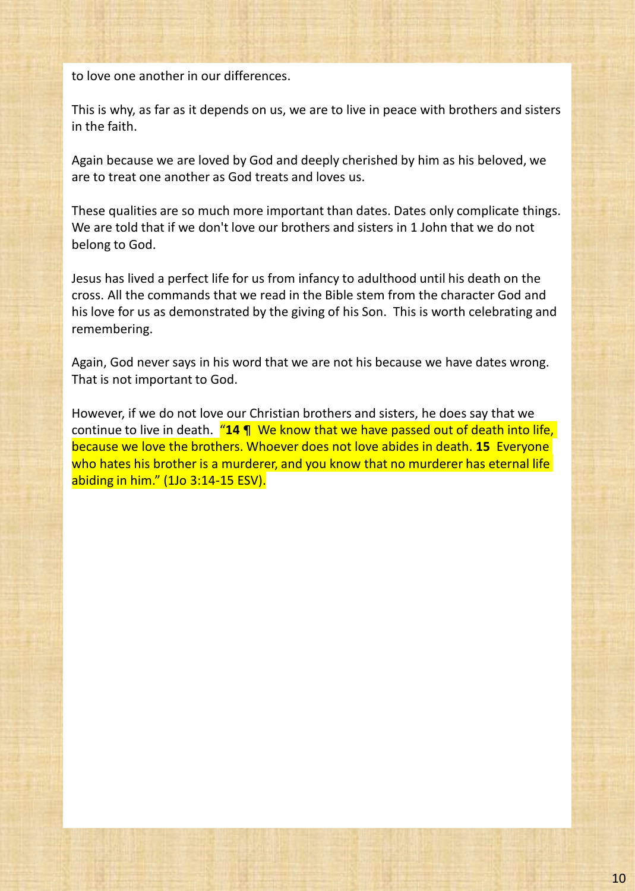to love one another in our differences.

This is why, as far as it depends on us, we are to live in peace with brothers and sisters in the faith.

Again because we are loved by God and deeply cherished by him as his beloved, we are to treat one another as God treats and loves us.

These qualities are so much more important than dates. Dates only complicate things. We are told that if we don't love our brothers and sisters in 1 John that we do not belong to God.

Jesus has lived a perfect life for us from infancy to adulthood until his death on the cross. All the commands that we read in the Bible stem from the character God and his love for us as demonstrated by the giving of his Son. This is worth celebrating and remembering.

Again, God never says in his word that we are not his because we have dates wrong. That is not important to God.

However, if we do not love our Christian brothers and sisters, he does say that we continue to live in death. "**14** ¶ We know that we have passed out of death into life, because we love the brothers. Whoever does not love abides in death. **15** Everyone who hates his brother is a murderer, and you know that no murderer has eternal life abiding in him." (1Jo 3:14-15 ESV).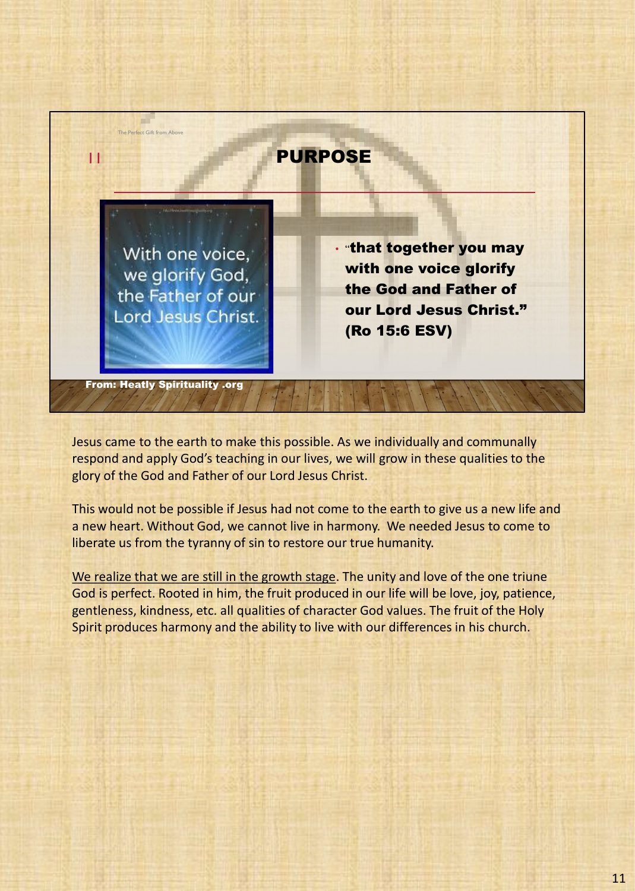

Jesus came to the earth to make this possible. As we individually and communally respond and apply God's teaching in our lives, we will grow in these qualities to the glory of the God and Father of our Lord Jesus Christ.

This would not be possible if Jesus had not come to the earth to give us a new life and a new heart. Without God, we cannot live in harmony. We needed Jesus to come to liberate us from the tyranny of sin to restore our true humanity.

We realize that we are still in the growth stage. The unity and love of the one triune God is perfect. Rooted in him, the fruit produced in our life will be love, joy, patience, gentleness, kindness, etc. all qualities of character God values. The fruit of the Holy Spirit produces harmony and the ability to live with our differences in his church.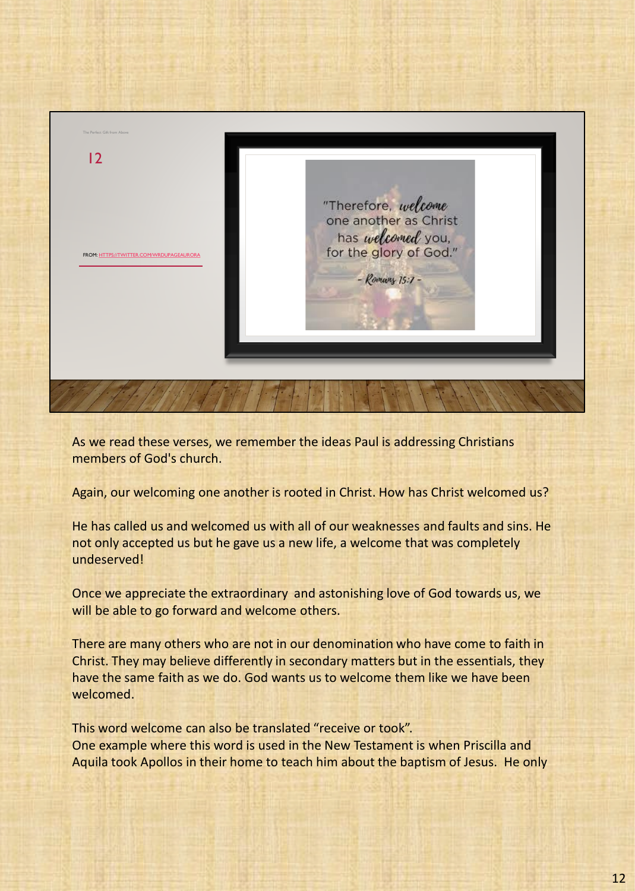

As we read these verses, we remember the ideas Paul is addressing Christians members of God's church.

Again, our welcoming one another is rooted in Christ. How has Christ welcomed us?

He has called us and welcomed us with all of our weaknesses and faults and sins. He not only accepted us but he gave us a new life, a welcome that was completely undeserved!

Once we appreciate the extraordinary and astonishing love of God towards us, we will be able to go forward and welcome others.

There are many others who are not in our denomination who have come to faith in Christ. They may believe differently in secondary matters but in the essentials, they have the same faith as we do. God wants us to welcome them like we have been welcomed.

This word welcome can also be translated "receive or took". One example where this word is used in the New Testament is when Priscilla and Aquila took Apollos in their home to teach him about the baptism of Jesus. He only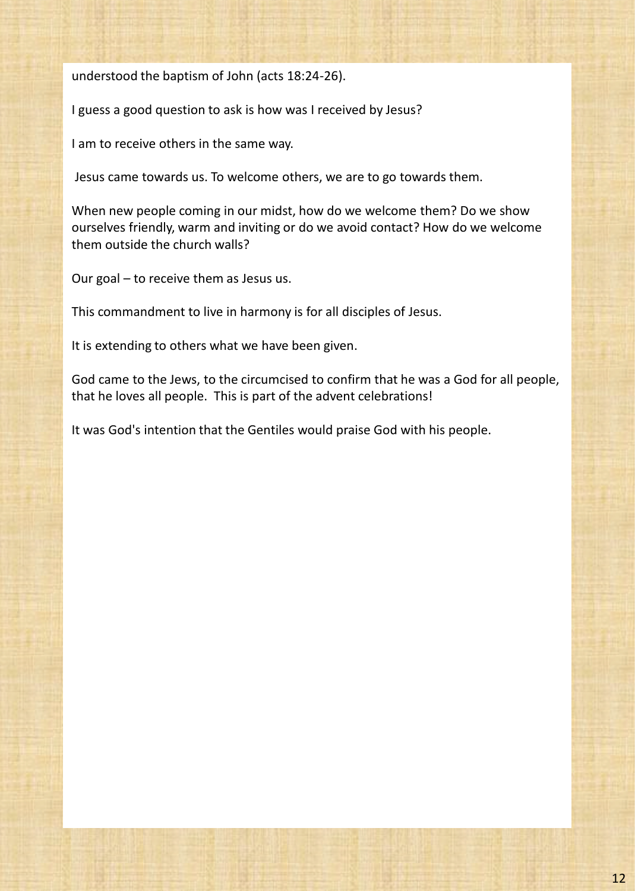understood the baptism of John (acts 18:24-26).

I guess a good question to ask is how was I received by Jesus?

I am to receive others in the same way.

Jesus came towards us. To welcome others, we are to go towards them.

When new people coming in our midst, how do we welcome them? Do we show ourselves friendly, warm and inviting or do we avoid contact? How do we welcome them outside the church walls?

Our goal – to receive them as Jesus us.

This commandment to live in harmony is for all disciples of Jesus.

It is extending to others what we have been given.

God came to the Jews, to the circumcised to confirm that he was a God for all people, that he loves all people. This is part of the advent celebrations!

It was God's intention that the Gentiles would praise God with his people.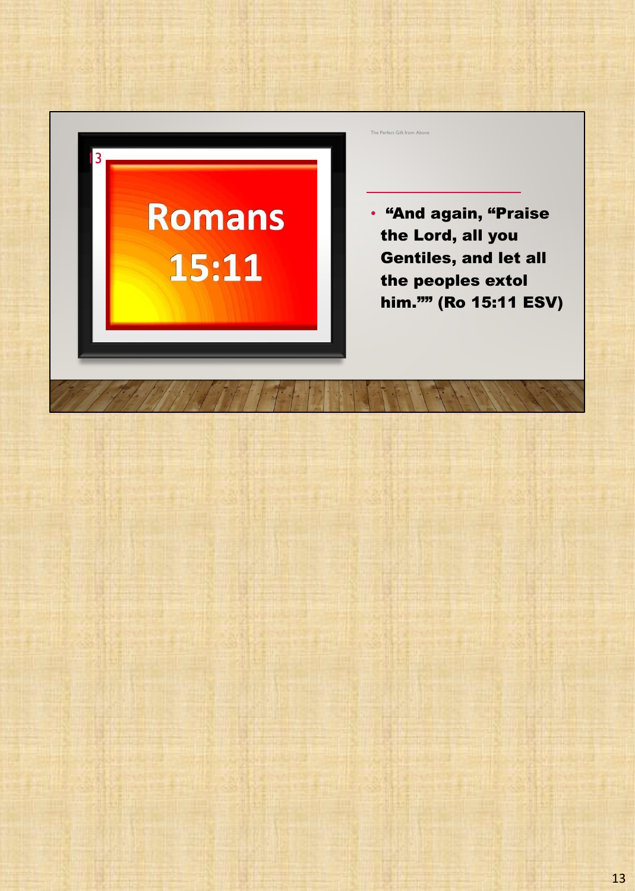# **Romans** 15:11

13

The Perfect Gift from Above

• "And again, "Praise the Lord, all you Gentiles, and let all the peoples extol him."" (Ro 15:11 ESV)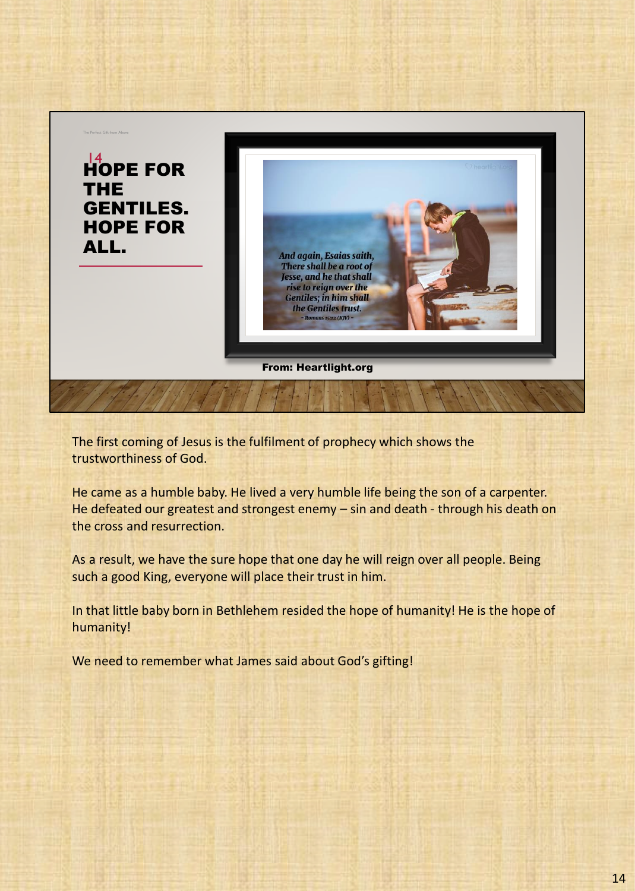

The first coming of Jesus is the fulfilment of prophecy which shows the trustworthiness of God.

He came as a humble baby. He lived a very humble life being the son of a carpenter. He defeated our greatest and strongest enemy – sin and death - through his death on the cross and resurrection.

As a result, we have the sure hope that one day he will reign over all people. Being such a good King, everyone will place their trust in him.

In that little baby born in Bethlehem resided the hope of humanity! He is the hope of humanity!

We need to remember what James said about God's gifting!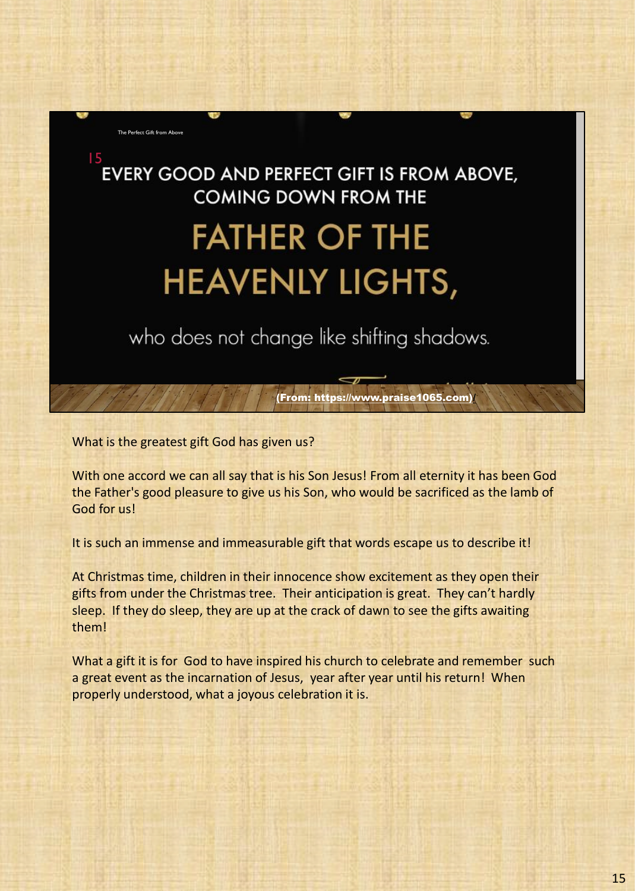

What is the greatest gift God has given us?

With one accord we can all say that is his Son Jesus! From all eternity it has been God the Father's good pleasure to give us his Son, who would be sacrificed as the lamb of God for us!

(From: https://www.praise1065.com)/

It is such an immense and immeasurable gift that words escape us to describe it!

At Christmas time, children in their innocence show excitement as they open their gifts from under the Christmas tree. Their anticipation is great. They can't hardly sleep. If they do sleep, they are up at the crack of dawn to see the gifts awaiting them!

What a gift it is for God to have inspired his church to celebrate and remember such a great event as the incarnation of Jesus, year after year until his return! When properly understood, what a joyous celebration it is.